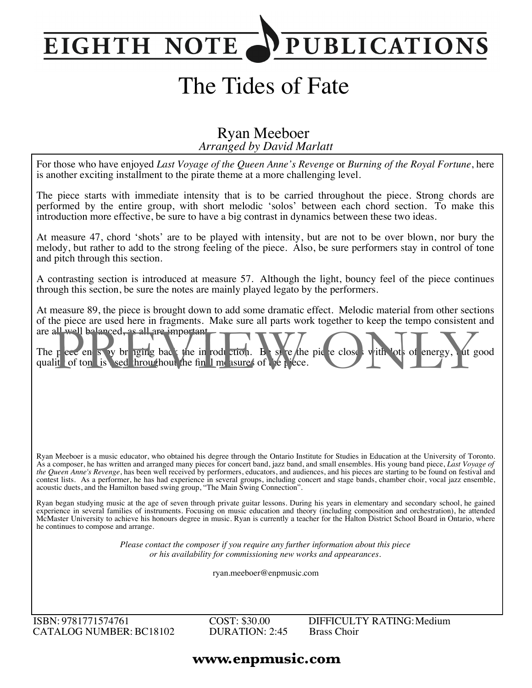## **PUBLICATIONS** EIGHTH NOTE

## The Tides of Fate

*Arranged by David Marlatt* Ryan Meeboer

For those who have enjoyed *Last Voyage of the Queen Anne's Revenge* or *Burning of the Royal Fortune*, here is another exciting installment to the pirate theme at a more challenging level.

The piece starts with immediate intensity that is to be carried throughout the piece. Strong chords are performed by the entire group, with short melodic 'solos' between each chord section. To make this introduction more effective, be sure to have a big contrast in dynamics between these two ideas.

At measure 47, chord 'shots' are to be played with intensity, but are not to be over blown, nor bury the melody, but rather to add to the strong feeling of the piece. Also, be sure performers stay in control of tone and pitch through this section.

A contrasting section is introduced at measure 57. Although the light, bouncy feel of the piece continues through this section, be sure the notes are mainly played legato by the performers.

At measure 89, the piece is brought down to add some dramatic effect. Melodic material from other sections of the piece are used here in fragments. Make sure all parts work together to keep the tempo consistent and are all well balanced, as all are important. The peece en so y breath and the indication. But the piece close with other energy, at g qualit of ton is sed hroughout the final measures of the piece.

The piece entry bringing back the introduction. Be sure the piece closes with lots of energy, but good

Ryan Meeboer is a music educator, who obtained his degree through the Ontario Institute for Studies in Education at the University of Toronto. As a composer, he has written and arranged many pieces for concert band, jazz band, and small ensembles. His young band piece, *Last Voyage of the Queen Anne's Revenge*, has been well received by performers, educators, and audiences, and his pieces are starting to be found on festival and contest lists. As a performer, he has had experience in several groups, including concert and stage bands, chamber choir, vocal jazz ensemble, acoustic duets, and the Hamilton based swing group, "The Main Swing Connection".

Ryan began studying music at the age of seven through private guitar lessons. During his years in elementary and secondary school, he gained experience in several families of instruments. Focusing on music education and theory (including composition and orchestration), he attended McMaster University to achieve his honours degree in music. Ryan is currently a teacher for the Halton District School Board in Ontario, where he continues to compose and arrange.

> *Please contact the composer if you require any further information about this piece or his availability for commissioning new works and appearances.*

> > ryan.meeboer@enpmusic.com

ISBN: 9781771574761 CATALOG NUMBER:BC18102 COST: \$30.00 DURATION: 2:45

DIFFICULTY RATING:Medium Brass Choir

## **www.enpmusic.com**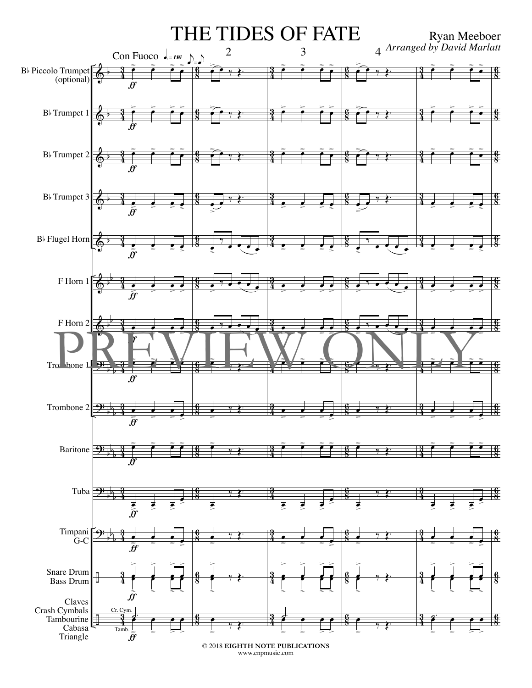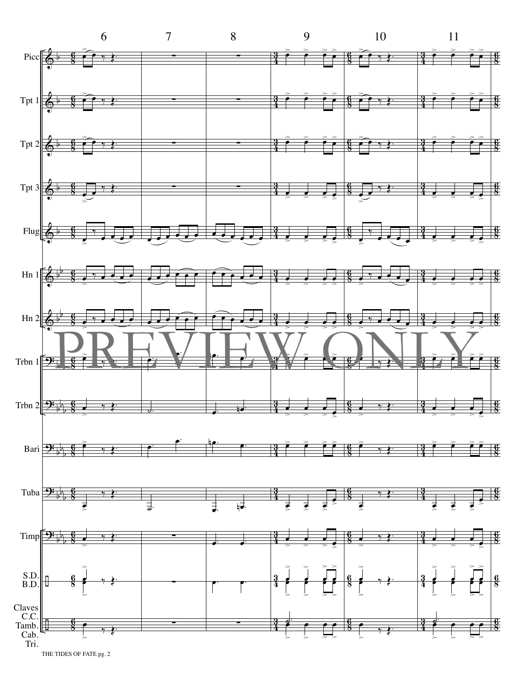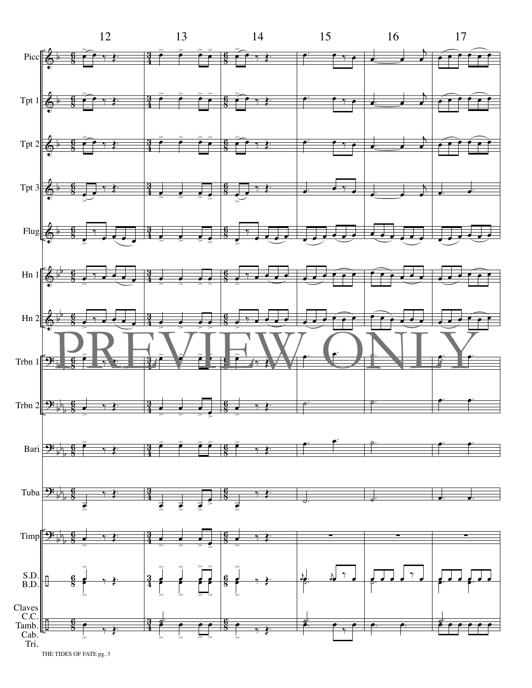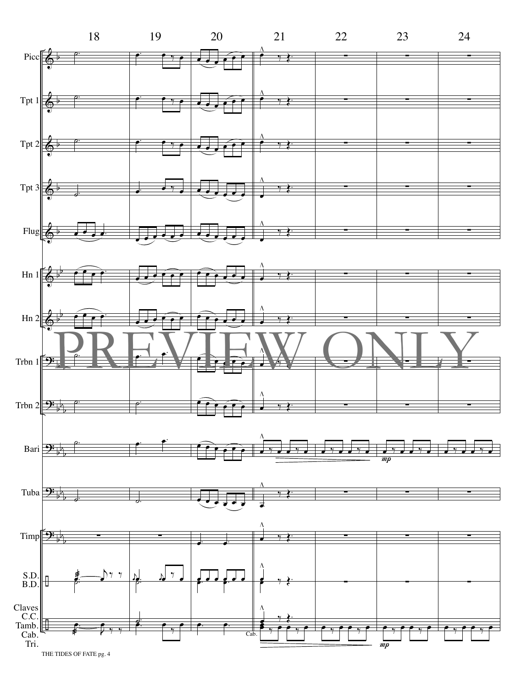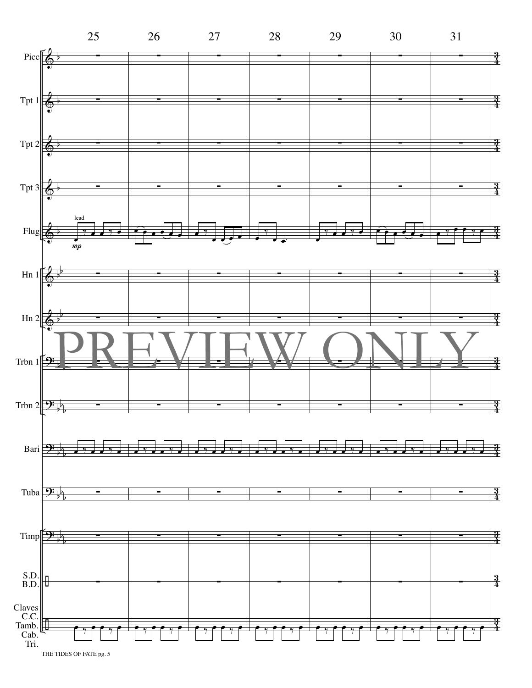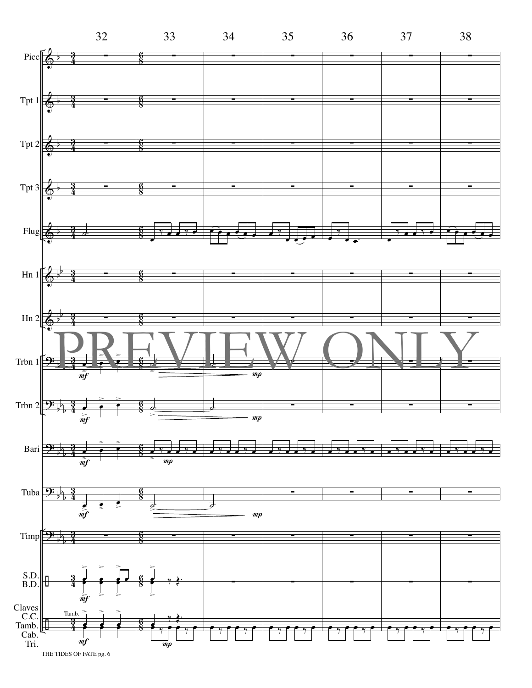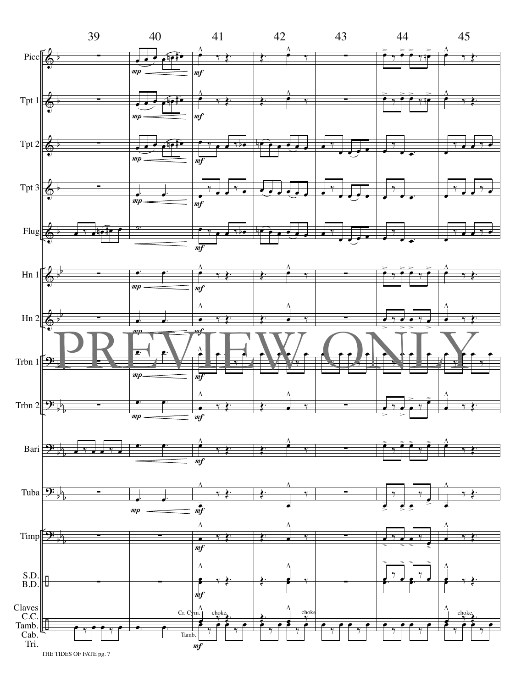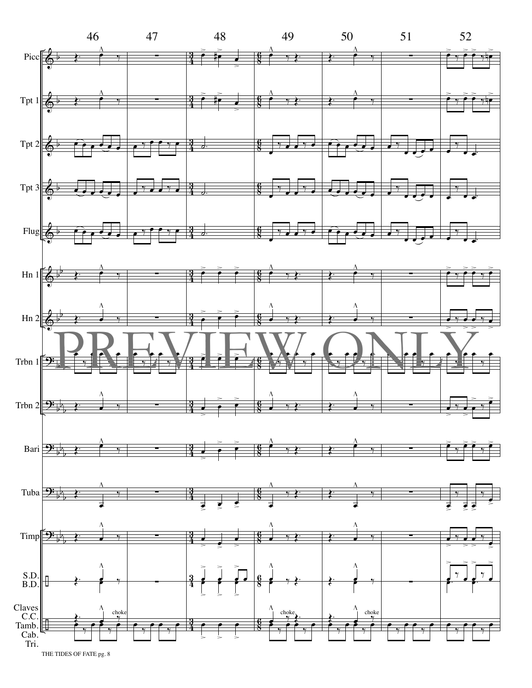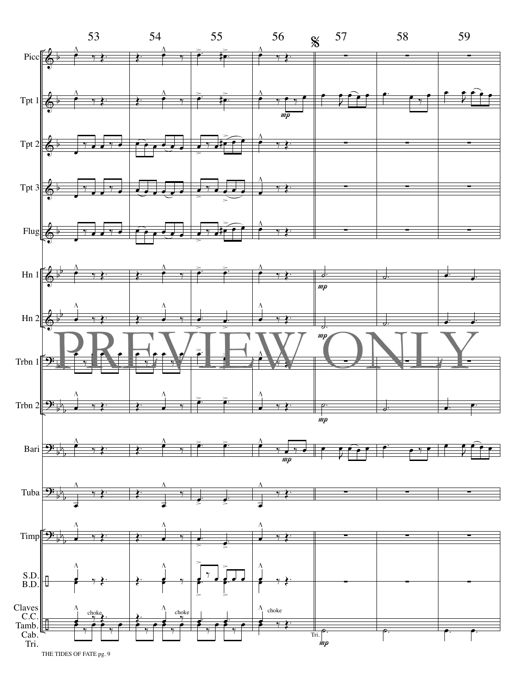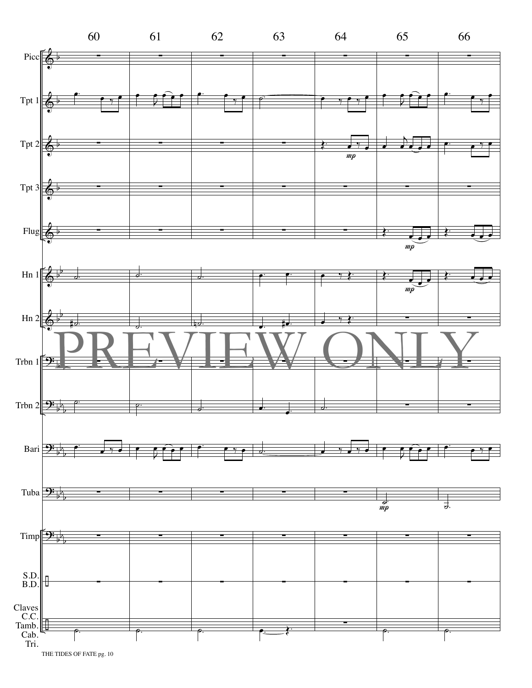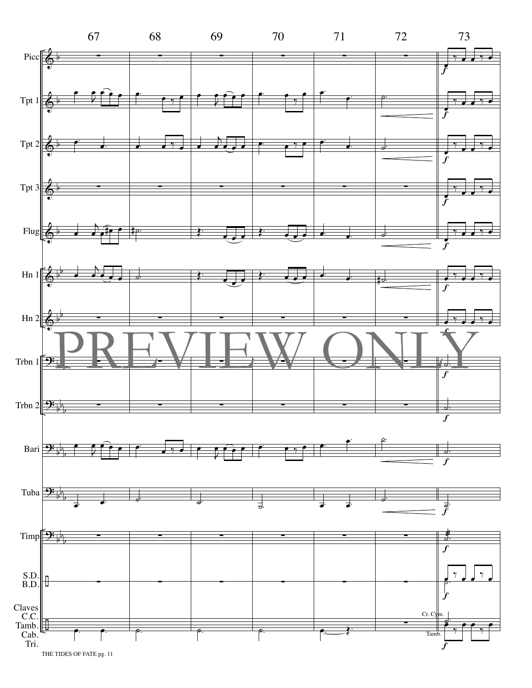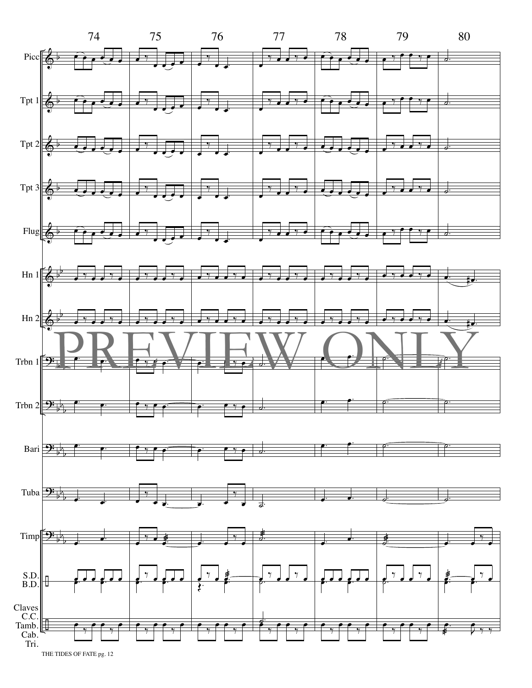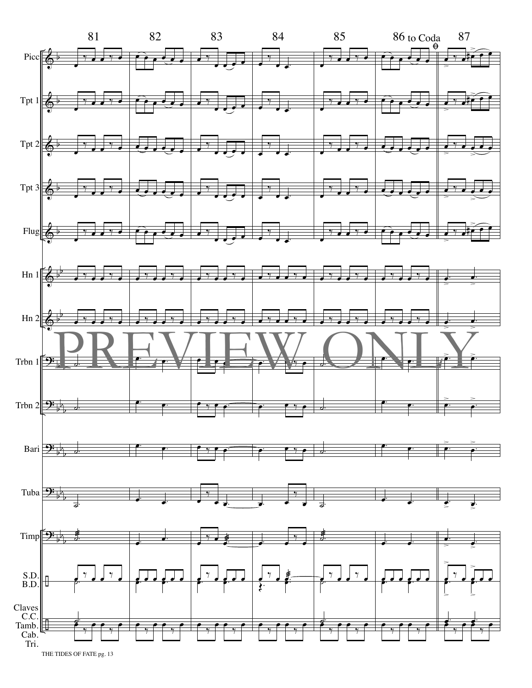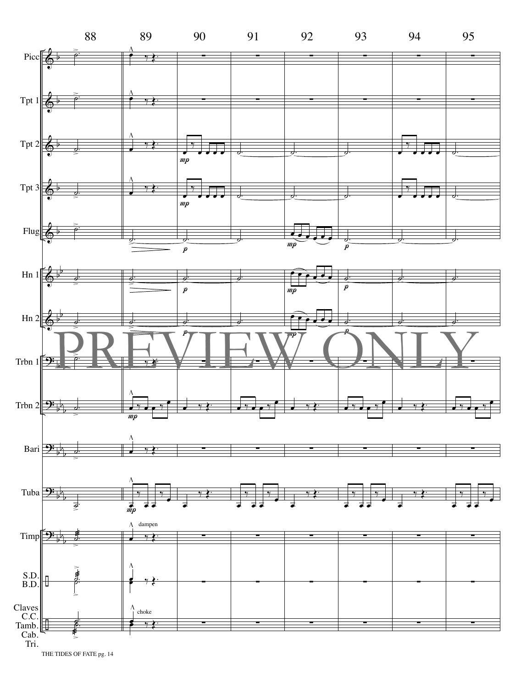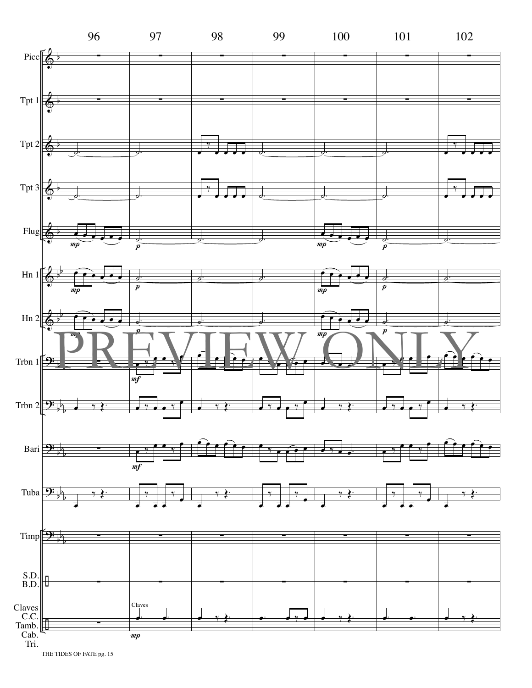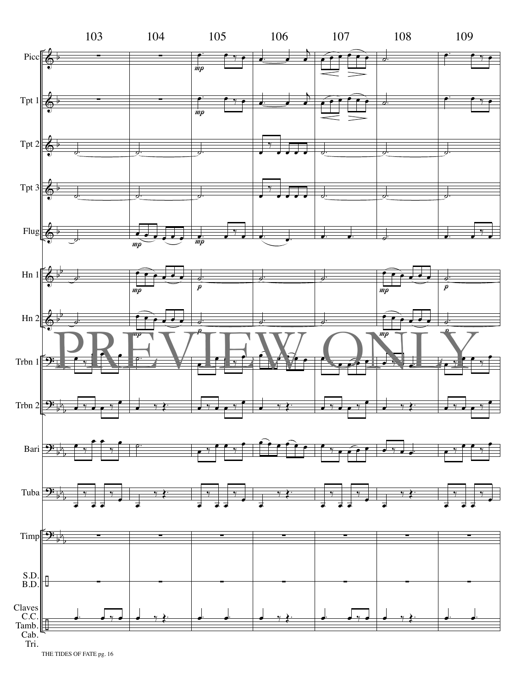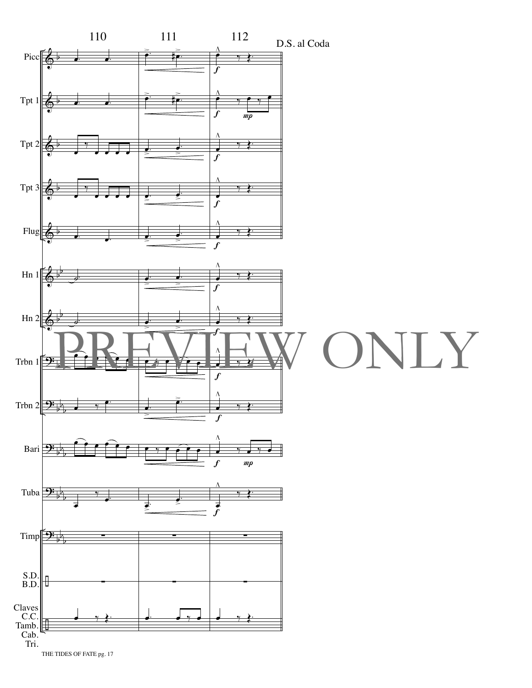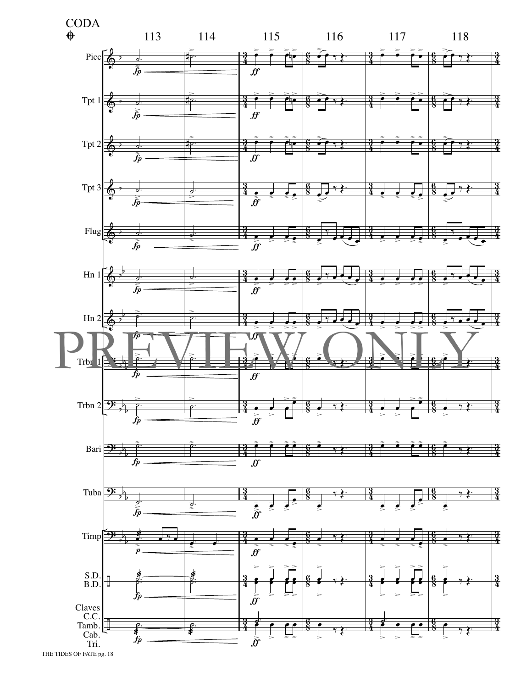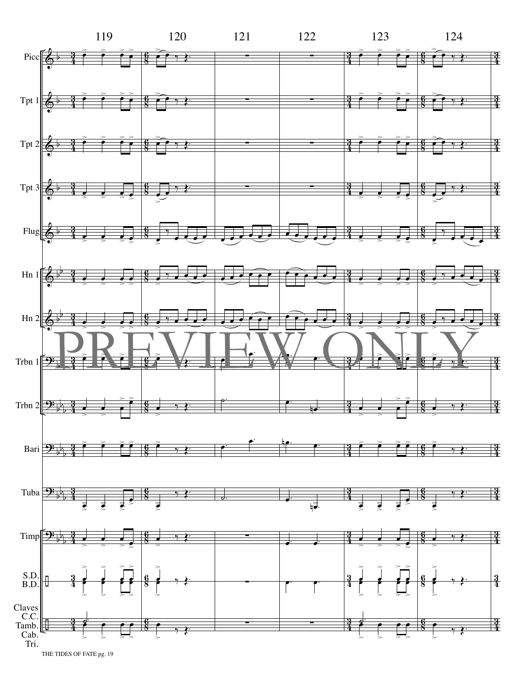